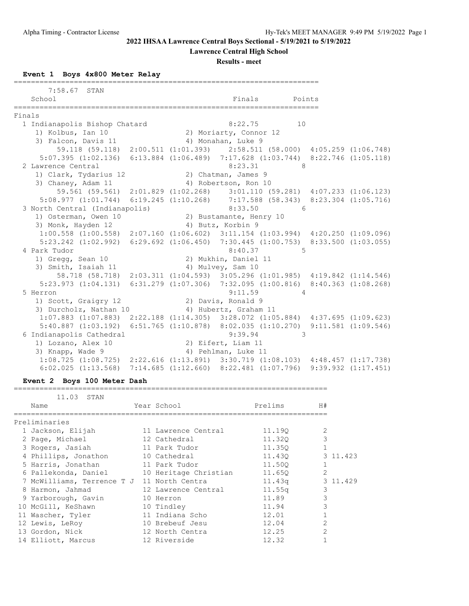**Lawrence Central High School**

**Results - meet**

**Event 1 Boys 4x800 Meter Relay**

|        | 7:58.67 STAN                                                                                    |                         |                        |             |  |
|--------|-------------------------------------------------------------------------------------------------|-------------------------|------------------------|-------------|--|
|        | School<br>========                                                                              |                         | Finals                 | Points      |  |
| Finals |                                                                                                 |                         |                        |             |  |
|        | 1 Indianapolis Bishop Chatard                                                                   |                         |                        | 8:22.75 10  |  |
|        | 1) Kolbus, Ian 10                                                                               |                         | 2) Moriarty, Connor 12 |             |  |
|        | 3) Falcon, Davis 11                                                                             |                         | 4) Monahan, Luke 9     |             |  |
|        | 59.118 (59.118) 2:00.511 (1:01.393) 2:58.511 (58.000) 4:05.259 (1:06.748)                       |                         |                        |             |  |
|        | 5:07.395 (1:02.136) 6:13.884 (1:06.489) 7:17.628 (1:03.744) 8:22.746 (1:05.118)                 |                         |                        |             |  |
|        | 2 Lawrence Central                                                                              |                         | 8:23.31                | 8           |  |
|        | 1) Clark, Tydarius 12                                                                           | 2) Chatman, James 9     |                        |             |  |
|        | 3) Chaney, Adam 11 (4) Robertson, Ron 10                                                        |                         |                        |             |  |
|        | 59.561 (59.561) 2:01.829 (1:02.268) 3:01.110 (59.281) 4:07.233 (1:06.123)                       |                         |                        |             |  |
|        | 5:08.977 (1:01.744) 6:19.245 (1:10.268) 7:17.588 (58.343) 8:23.304 (1:05.716)                   |                         |                        |             |  |
|        | 3 North Central (Indianapolis)                                                                  |                         |                        | 8:33.50 6   |  |
|        | 1) Osterman, Owen 10                                                                            | 2) Bustamante, Henry 10 |                        |             |  |
|        | 3) Monk, Hayden 12                                                                              | 4) Butz, Korbin 9       |                        |             |  |
|        | $1:00.558$ $(1:00.558)$ $2:07.160$ $(1:06.602)$ $3:11.154$ $(1:03.994)$ $4:20.250$ $(1:09.096)$ |                         |                        |             |  |
|        | 5:23.242 (1:02.992) 6:29.692 (1:06.450) 7:30.445 (1:00.753) 8:33.500 (1:03.055)                 |                         |                        |             |  |
|        | 4 Park Tudor                                                                                    |                         | 8:40.37                | $5^{\circ}$ |  |
|        | 1) Gregg, Sean 10                                                                               |                         | 2) Mukhin, Daniel 11   |             |  |
|        | 3) Smith, Isaiah 11                                                                             |                         | 4) Mulvey, Sam 10      |             |  |
|        | 58.718 (58.718) 2:03.311 (1:04.593) 3:05.296 (1:01.985) 4:19.842 (1:14.546)                     |                         |                        |             |  |
|        | 5:23.973 (1:04.131) 6:31.279 (1:07.306) 7:32.095 (1:00.816) 8:40.363 (1:08.268)                 |                         |                        |             |  |
|        | 5 Herron                                                                                        |                         | 9:11.59                | 4           |  |
|        | 1) Scott, Graigry 12                                                                            |                         | 2) Davis, Ronald 9     |             |  |
|        | 3) Durcholz, Nathan 10                                                                          |                         | 4) Hubertz, Graham 11  |             |  |
|        | 1:07.883 (1:07.883) 2:22.188 (1:14.305) 3:28.072 (1:05.884) 4:37.695 (1:09.623)                 |                         |                        |             |  |
|        | 5:40.887 (1:03.192) 6:51.765 (1:10.878) 8:02.035 (1:10.270) 9:11.581 (1:09.546)                 |                         |                        |             |  |
|        | 6 Indianapolis Cathedral                                                                        |                         | 9:39.94                | $\sim$ 3    |  |
|        | 1) Lozano, Alex 10                                                                              | 2) Eifert, Liam 11      |                        |             |  |
|        | 3) Knapp, Wade 9                                                                                |                         | 4) Pehlman, Luke 11    |             |  |
|        | $1:08.725$ $(1:08.725)$ $2:22.616$ $(1:13.891)$ $3:30.719$ $(1:08.103)$ $4:48.457$ $(1:17.738)$ |                         |                        |             |  |
|        | $6:02.025$ (1:13.568) 7:14.685 (1:12.660) 8:22.481 (1:07.796) 9:39.932 (1:17.451)               |                         |                        |             |  |

### **Event 2 Boys 100 Meter Dash**

| 11.03<br>STAN              |                       |         |                |          |
|----------------------------|-----------------------|---------|----------------|----------|
| Name                       | Year School           | Prelims | H#             |          |
| Preliminaries              |                       |         |                |          |
| 1 Jackson, Elijah          | 11 Lawrence Central   | 11,190  | 2              |          |
| 2 Page, Michael            | 12 Cathedral          | 11,320  | 3              |          |
| 3 Rogers, Jasiah           | 11 Park Tudor         | 11.350  | $\mathbf{1}$   |          |
| 4 Phillips, Jonathon       | 10 Cathedral          | 11.430  |                | 3 11.423 |
| 5 Harris, Jonathan         | 11 Park Tudor         | 11.50Q  |                |          |
| 6 Pallekonda, Daniel       | 10 Heritage Christian | 11.650  | $\overline{2}$ |          |
| 7 McWilliams, Terrence T J | 11 North Centra       | 11.43q  |                | 3 11.429 |
| 8 Harmon, Jahmad           | 12 Lawrence Central   | 11.55q  | 3              |          |
| 9 Yarborough, Gavin        | 10 Herron             | 11.89   | 3              |          |
| 10 McGill, KeShawn         | 10 Tindley            | 11.94   | 3              |          |
| 11 Wascher, Tyler          | 11 Indiana Scho       | 12.01   |                |          |
| 12 Lewis, LeRoy            | 10 Brebeuf Jesu       | 12.04   | $\overline{2}$ |          |
| 13 Gordon, Nick            | 12 North Centra       | 12.25   | $\mathfrak{D}$ |          |
| 14 Elliott, Marcus         | 12 Riverside          | 12.32   |                |          |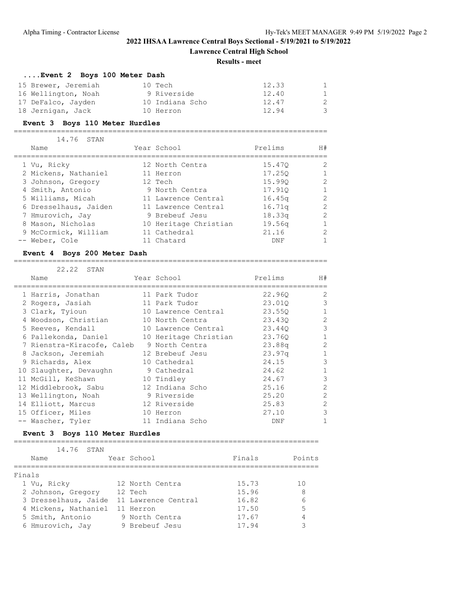**Lawrence Central High School**

#### **Results - meet**

### **....Event 2 Boys 100 Meter Dash**

| 15 Brewer, Jeremiah | 10 Tech         | 12.33 | $\overline{1}$ |
|---------------------|-----------------|-------|----------------|
| 16 Wellington, Noah | 9 Riverside     | 12.40 | $\overline{1}$ |
| 17 DeFalco, Jayden  | 10 Indiana Scho | 12.47 | -2             |
| 18 Jernigan, Jack   | 10 Herron       | 12.94 | -3             |

# **Event 3 Boys 110 Meter Hurdles**

=========================================================================

| 14.76 STAN            |                       |                    |               |
|-----------------------|-----------------------|--------------------|---------------|
| Name                  | Year School           | Prelims            | H#            |
| 1 Vu, Ricky           | 12 North Centra       | 15.470             | $\mathcal{L}$ |
| 2 Mickens, Nathaniel  | 11 Herron             | 17.250             |               |
| 3 Johnson, Gregory    | 12 Tech               | 15.990             | $\mathcal{P}$ |
| 4 Smith, Antonio      | 9 North Centra        | 17.910             |               |
| 5 Williams, Micah     | 11 Lawrence Central   | 16.45 <sub>q</sub> | $\mathcal{L}$ |
| 6 Dresselhaus, Jaiden | 11 Lawrence Central   | 16.71q             | $\mathcal{P}$ |
| 7 Hmurovich, Jay      | 9 Brebeuf Jesu        | 18.33q             | $\mathcal{L}$ |
| 8 Mason, Nicholas     | 10 Heritage Christian | 19.56q             |               |
| 9 McCormick, William  | 11 Cathedral          | 21.16              | 2             |
| -- Weber, Cole        | 11 Chatard            | DNF                |               |

### **Event 4 Boys 200 Meter Dash**

#### =========================================================================

| 22.22 STAN                 |                       |         |                |
|----------------------------|-----------------------|---------|----------------|
| Name                       | Year School           | Prelims | H#             |
| 1 Harris, Jonathan         | 11 Park Tudor         | 22.960  | $\overline{2}$ |
| 2 Rogers, Jasiah           | 11 Park Tudor         | 23.010  | 3              |
| 3 Clark, Tyioun            | 10 Lawrence Central   | 23.550  |                |
| 4 Woodson, Christian       | 10 North Centra       | 23.430  | $\overline{2}$ |
| 5 Reeves, Kendall          | 10 Lawrence Central   | 23.440  | 3              |
| 6 Pallekonda, Daniel       | 10 Heritage Christian | 23.760  |                |
| 7 Rienstra-Kiracofe, Caleb | 9 North Centra        | 23.88q  | $\overline{2}$ |
| 8 Jackson, Jeremiah        | 12 Brebeuf Jesu       | 23.97q  |                |
| 9 Richards, Alex           | 10 Cathedral          | 24.15   | 3              |
| 10 Slaughter, Devaughn     | 9 Cathedral           | 24.62   |                |
| 11 McGill, KeShawn         | 10 Tindley            | 24.67   | 3              |
| 12 Middlebrook, Sabu       | 12 Indiana Scho       | 25.16   | 2              |
| 13 Wellington, Noah        | 9 Riverside           | 25.20   | 2              |
| 14 Elliott, Marcus         | 12 Riverside          | 25.83   | $\mathfrak{D}$ |
| 15 Officer, Miles          | 10 Herron             | 27.10   | 3              |
| -- Wascher, Tyler          | 11 Indiana Scho       | DNF     |                |

### **Event 3 Boys 110 Meter Hurdles**

|        | 14.76 STAN           |                     |        |        |
|--------|----------------------|---------------------|--------|--------|
|        | Name                 | Year School         | Finals | Points |
|        |                      |                     |        |        |
| Finals |                      |                     |        |        |
|        | 1 Vu, Ricky          | 12 North Centra     | 15.73  | 1 N    |
|        | 2 Johnson, Gregory   | 12 Tech             | 15.96  | 8      |
|        | 3 Dresselhaus, Jaide | 11 Lawrence Central | 16.82  | 6      |
|        | 4 Mickens, Nathaniel | 11 Herron           | 17.50  | 5      |
|        | 5 Smith, Antonio     | 9 North Centra      | 17.67  | 4      |
|        | 6 Hmurovich, Jay     | 9 Brebeuf Jesu      | 17.94  |        |
|        |                      |                     |        |        |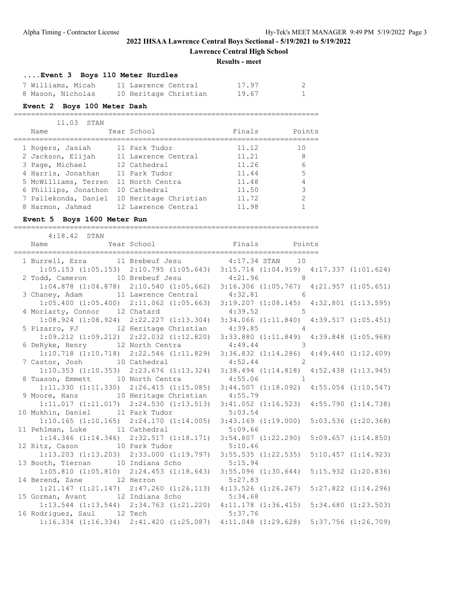**Lawrence Central High School**

**Results - meet**

### **....Event 3 Boys 110 Meter Hurdles**

| 7 Williams, Micah | 11 Lawrence Central   | 17.97 |  |
|-------------------|-----------------------|-------|--|
| 8 Mason, Nicholas | 10 Heritage Christian | 19.67 |  |

=======================================================================

#### **Event 2 Boys 100 Meter Dash**

|   | 11.03 STAN           |                       |        |        |
|---|----------------------|-----------------------|--------|--------|
|   | Name                 | Year School           | Finals | Points |
|   | 1 Rogers, Jasiah     | 11 Park Tudor         | 11.12  | 10     |
|   | 2 Jackson, Elijah    | 11 Lawrence Central   | 11.21  | 8      |
|   | 3 Page, Michael      | 12 Cathedral          | 11.26  | 6      |
|   | 4 Harris, Jonathan   | 11 Park Tudor         | 11.44  | 5      |
|   | 5 McWilliams, Terren | 11 North Centra       | 11.48  | 4      |
|   | 6 Phillips, Jonathon | 10 Cathedral          | 11.50  | 3      |
|   | 7 Pallekonda, Daniel | 10 Heritage Christian | 11.72  | 2      |
| 8 | Harmon, Jahmad       | 12 Lawrence Central   | 11.98  |        |

#### **Event 5 Boys 1600 Meter Run**

======================================================================= 4:18.42 STAN Name Year School Finals Points ======================================================================= 1 Burrell, Ezra 11 Brebeuf Jesu 4:17.34 STAN 10

|                                               |                                                 | $1:05.153$ $(1:05.153)$ $2:10.795$ $(1:05.643)$ $3:15.714$ $(1:04.919)$ $4:17.337$ $(1:01.624)$ |  |
|-----------------------------------------------|-------------------------------------------------|-------------------------------------------------------------------------------------------------|--|
| 2 Todd, Cameron 10 Brebeuf Jesu 4:21.96 8     |                                                 |                                                                                                 |  |
|                                               |                                                 | 1:04.878 (1:04.878) 2:10.540 (1:05.662) 3:16.306 (1:05.767) 4:21.957 (1:05.651)                 |  |
| 3 Chaney, Adam 11 Lawrence Central 4:32.81 6  |                                                 |                                                                                                 |  |
|                                               |                                                 | $1:05.400$ $(1:05.400)$ $2:11.062$ $(1:05.663)$ $3:19.207$ $(1:08.145)$ $4:32.801$ $(1:13.595)$ |  |
| 4 Moriarty, Connor 12 Chatard 4:39.52 5       |                                                 |                                                                                                 |  |
|                                               |                                                 | 1:08.924 (1:08.924) 2:22.227 (1:13.304) 3:34.066 (1:11.840) 4:39.517 (1:05.451)                 |  |
| 5 Pizarro, PJ 12 Heritage Christian 4:39.85 4 |                                                 |                                                                                                 |  |
|                                               | $1:09.212$ $(1:09.212)$ $2:22.032$ $(1:12.820)$ | 3:33.880 (1:11.849) 4:39.848 (1:05.968)                                                         |  |
| 6 DeRyke, Henry 12 North Centra 4:49.44 3     |                                                 |                                                                                                 |  |
|                                               |                                                 | 1:10.718 (1:10.718) 2:22.546 (1:11.829) 3:36.832 (1:14.286) 4:49.440 (1:12.609)                 |  |
| 7 Castor, Josh 10 Cathedral 4:52.44 2         |                                                 |                                                                                                 |  |
|                                               |                                                 | 1:10.353 (1:10.353) 2:23.676 (1:13.324) 3:38.494 (1:14.818) 4:52.438 (1:13.945)                 |  |
| 8 Tuason, Emmett 10 North Centra 4:55.06 1    |                                                 |                                                                                                 |  |
|                                               |                                                 | 1:11.330 (1:11.330) 2:26.415 (1:15.085) 3:44.507 (1:18.092) 4:55.054 (1:10.547)                 |  |
| 9 Moore, Hans 10 Heritage Christian 4:55.79   |                                                 |                                                                                                 |  |
|                                               |                                                 | $1:11.017$ $(1:11.017)$ $2:24.530$ $(1:13.513)$ $3:41.052$ $(1:16.523)$ $4:55.790$ $(1:14.738)$ |  |
| 10 Mukhin, Daniel 11 Park Tudor 5:03.54       |                                                 |                                                                                                 |  |
|                                               |                                                 | 1:10.165 (1:10.165) 2:24.170 (1:14.005) 3:43.169 (1:19.000) 5:03.536 (1:20.368)                 |  |
| 11 Pehlman, Luke 11 Cathedral 5:09.66         |                                                 |                                                                                                 |  |
|                                               |                                                 | 1:14.346 (1:14.346) 2:32.517 (1:18.171) 3:54.807 (1:22.290) 5:09.657 (1:14.850)                 |  |
| 12 Ritz, Cason 10 Park Tudor 5:10.46          |                                                 |                                                                                                 |  |
|                                               |                                                 | 1:13.203 (1:13.203) 2:33.000 (1:19.797) 3:55.535 (1:22.535) 5:10.457 (1:14.923)                 |  |
| 13 Booth, Tiernan 10 Indiana Scho 5:15.94     |                                                 |                                                                                                 |  |
|                                               |                                                 | 1:05.810 (1:05.810) 2:24.453 (1:18.643) 3:55.096 (1:30.644) 5:15.932 (1:20.836)                 |  |
| 14 Berend, Zane 12 Herron 5:27.83             |                                                 |                                                                                                 |  |
|                                               |                                                 | 1:21.147 (1:21.147) 2:47.260 (1:26.113) 4:13.526 (1:26.267) 5:27.822 (1:14.296)                 |  |
| 15 Gorman, Avant 12 Indiana Scho 5:34.68      |                                                 |                                                                                                 |  |
|                                               |                                                 | 1:13.544 (1:13.544) 2:34.763 (1:21.220) 4:11.178 (1:36.415) 5:34.680 (1:23.503)                 |  |
| 16 Rodriguez, Saul 12 Tech 5:37.76            |                                                 |                                                                                                 |  |
|                                               |                                                 | 1:16.334 (1:16.334) 2:41.420 (1:25.087) 4:11.048 (1:29.628) 5:37.756 (1:26.709)                 |  |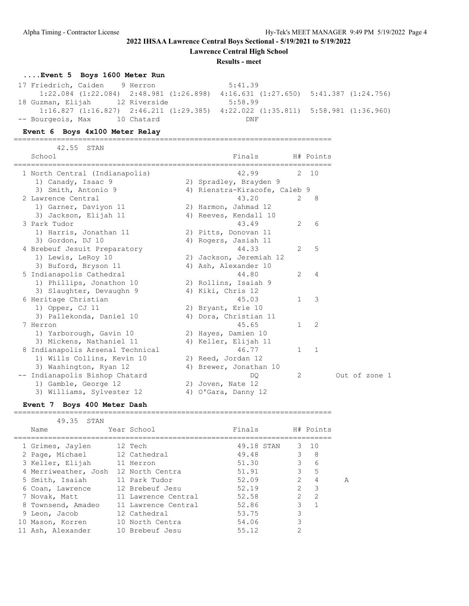**Lawrence Central High School**

**Results - meet**

### **....Event 5 Boys 1600 Meter Run**

17 Friedrich, Caiden 9 Herron 5:41.39 1:22.084 (1:22.084) 2:48.981 (1:26.898) 4:16.631 (1:27.650) 5:41.387 (1:24.756) 18 Guzman, Elijah 12 Riverside 5:58.99 1:16.827 (1:16.827) 2:46.211 (1:29.385) 4:22.022 (1:35.811) 5:58.981 (1:36.960) -- Bourgeois, Max 10 Chatard DNF

#### **Event 6 Boys 4x100 Meter Relay**

42.55 STAN

==========================================================================

| School                           | Finals                               |               | H# Points |               |  |
|----------------------------------|--------------------------------------|---------------|-----------|---------------|--|
| 1 North Central (Indianapolis)   | ===========================<br>42.99 | 2             | 10        |               |  |
| 1) Canady, Isaac 9               | 2) Spradley, Brayden 9               |               |           |               |  |
| 3) Smith, Antonio 9              | 4) Rienstra-Kiracofe, Caleb 9        |               |           |               |  |
| 2 Lawrence Central               | 43.20                                | $\mathcal{L}$ | 8         |               |  |
| 1) Garner, Daviyon 11            | 2) Harmon, Jahmad 12                 |               |           |               |  |
| 3) Jackson, Elijah 11            | 4) Reeves, Kendall 10                |               |           |               |  |
| 3 Park Tudor                     | 43.49                                | 2             | 6         |               |  |
| 1) Harris, Jonathan 11           | 2) Pitts, Donovan 11                 |               |           |               |  |
| 3) Gordon, DJ 10                 | 4) Rogers, Jasiah 11                 |               |           |               |  |
| 4 Brebeuf Jesuit Preparatory     | 44.33                                | 2             | 5         |               |  |
| 1) Lewis, LeRoy 10               | 2) Jackson, Jeremiah 12              |               |           |               |  |
| 3) Buford, Bryson 11             | 4) Ash, Alexander 10                 |               |           |               |  |
| 5 Indianapolis Cathedral         | 44.80                                | 2             | 4         |               |  |
| 1) Phillips, Jonathon 10         | 2) Rollins, Isaiah 9                 |               |           |               |  |
| 3) Slaughter, Devaughn 9         | 4) Kiki, Chris 12                    |               |           |               |  |
| 6 Heritage Christian             | 45.03                                | 1             | 3         |               |  |
| 1) Opper, CJ 11                  | 2) Bryant, Erie 10                   |               |           |               |  |
| 3) Pallekonda, Daniel 10         | 4) Dora, Christian 11                |               |           |               |  |
| 7 Herron                         | 45.65                                | 1             | 2         |               |  |
| 1) Yarborough, Gavin 10          | 2) Hayes, Damien 10                  |               |           |               |  |
| 3) Mickens, Nathaniel 11         | 4) Keller, Elijah 11                 |               |           |               |  |
| 8 Indianapolis Arsenal Technical | 46.77                                | 1             | 1         |               |  |
| 1) Wills Collins, Kevin 10       | 2) Reed, Jordan 12                   |               |           |               |  |
| 3) Washington, Ryan 12           | 4) Brewer, Jonathan 10               |               |           |               |  |
| Indianapolis Bishop Chatard      | DO                                   | 2             |           | Out of zone 1 |  |
| 1) Gamble, George 12             | 2) Joven, Nate 12                    |               |           |               |  |
| 3) Williams, Sylvester 12        | 4) O'Gara, Danny 12                  |               |           |               |  |

#### **Event 7 Boys 400 Meter Dash**

| 49.35<br>STAN                        |                                   |            |                                |
|--------------------------------------|-----------------------------------|------------|--------------------------------|
| Name                                 | Year School                       | Finals     | H# Points                      |
| 1 Grimes, Jaylen                     | 12 Tech                           | 49.18 STAN | $3 \quad 10$                   |
| 2 Page, Michael 12 Cathedral         |                                   | 49.48      | $\mathcal{E}$<br>8             |
| 3 Keller, Elijah 11 Herron           |                                   | 51.30      | 3 <sup>7</sup><br>6            |
| 4 Merriweather, Josh 12 North Centra |                                   | 51.91      | $\mathcal{E}$<br>5             |
| 5 Smith, Isaiah                      | 11 Park Tudor                     | 52.09      | 2<br>4<br>A                    |
| 6 Coan, Lawrence                     | 12 Brebeuf Jesu                   | 52.19      | $\mathcal{L}$<br>3             |
|                                      | 7 Novak, Matt 11 Lawrence Central | 52.58      | $\mathcal{L}$<br>$\mathcal{L}$ |
| 8 Townsend, Amadeo                   | 11 Lawrence Central               | 52.86      | 3                              |
| 9 Leon, Jacob                        | 12 Cathedral                      | 53.75      | 3                              |
| 10 Mason, Korren                     | 10 North Centra                   | 54.06      | 3                              |
| 11 Ash, Alexander                    | 10 Brebeuf Jesu                   | 55.12      | 2                              |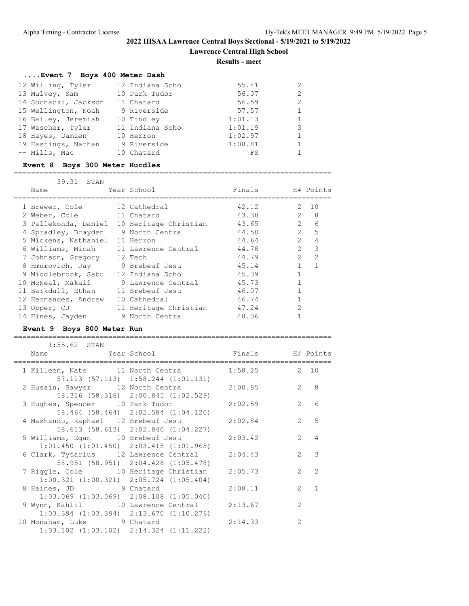**Lawrence Central High School**

**Results - meet**

### **....Event 7 Boys 400 Meter Dash**

| 12 Willing, Tyler    | 12 Indiana Scho | 55.41   |   |
|----------------------|-----------------|---------|---|
| 13 Mulvey, Sam       | 10 Park Tudor   | 56.07   | 2 |
| 14 Sochacki, Jackson | 11 Chatard      | 56.59   | 2 |
| 15 Wellington, Noah  | 9 Riverside     | 57.57   |   |
| 16 Bailey, Jeremiah  | 10 Tindley      | 1:01.13 |   |
| 17 Wascher, Tyler    | 11 Indiana Scho | 1:01.19 | 3 |
| 18 Hayes, Damien     | 10 Herron       | 1:02.97 |   |
| 19 Hastings, Nathan  | 9 Riverside     | 1:08.81 |   |
| -- Mills, Mac        | 10 Chatard      | FS      |   |

### **Event 8 Boys 300 Meter Hurdles**

==========================================================================

| 39.31 STAN                            |                       |                  |                |                         |
|---------------------------------------|-----------------------|------------------|----------------|-------------------------|
| Name                                  | Year School           | Finals H# Points |                |                         |
|                                       |                       |                  |                |                         |
| 1 Brewer, Cole                        | 12 Cathedral          | 42.12            |                | 2, 10                   |
| 2 Weber, Cole                         | 11 Chatard            | 43.38            | $\mathcal{L}$  | 8                       |
| 3 Pallekonda, Daniel                  | 10 Heritage Christian | 43.65            | 2              | 6                       |
| 4 Spradley, Brayden                   | 9 North Centra        | 44.50            |                | 2 <sub>5</sub>          |
| 5 Mickens, Nathaniel 11 Herron        |                       | 44.64            | $\overline{2}$ | $\overline{4}$          |
| 6 Williams, Micah 11 Lawrence Central |                       | 44.78            | $\mathcal{L}$  | $\overline{\mathbf{3}}$ |
| 7 Johnson, Gregory 12 Tech            |                       | 44.79            | $\mathcal{P}$  | $\mathcal{L}$           |
| 8 Hmurovich, Jay 9 Brebeuf Jesu       |                       | 45.14            |                | 1                       |
| 9 Middlebrook, Sabu                   | 12 Indiana Scho       | 45.39            |                |                         |
| 10 McNeal, Makail                     | 9 Lawrence Central    | 45.73            |                |                         |
| 11 Barkdull, Ethan                    | 11 Brebeuf Jesu       | 46.07            |                |                         |
| 12 Hernandez, Andrew                  | 10 Cathedral          | 46.74            |                |                         |
| 13 Opper, CJ                          | 11 Heritage Christian | 47.24            | $\overline{2}$ |                         |
| 14 Hines, Jayden                      | 9 North Centra        | 48.06            |                |                         |

#### **Event 9 Boys 800 Meter Run**

| $1:55.62$ STAN                                                                                   |                                     |         |                |                  |
|--------------------------------------------------------------------------------------------------|-------------------------------------|---------|----------------|------------------|
| Name That Year School Team Finals H# Points                                                      |                                     |         |                |                  |
| 1 Killeen, Nate 11 North Centra 1:58.25 2 10                                                     |                                     |         |                |                  |
| 2 Husain, Sawyer 12 North Centra 2:00.85                                                         | 57.113 (57.113) 1:58.244 (1:01.131) |         |                | $2 \quad 8$      |
| 3 Hughes, Spencer 10 Park Tudor 2:02.59                                                          | 58.316 (58.316) 2:00.845 (1:02.529) |         |                | $2^{\circ}$<br>6 |
| 4 Mazhandu, Raphael 12 Brebeuf Jesu 2:02.84                                                      | 58.464 (58.464) 2:02.584 (1:04.120) |         |                | 2 <sub>5</sub>   |
| 5 Williams, Eqan 10 Brebeuf Jesu 2:03.42                                                         | 58.613 (58.613) 2:02.840 (1:04.227) |         |                | $2 \quad 4$      |
| $1:01.450$ $(1:01.450)$ $2:03.415$ $(1:01.965)$<br>6 Clark, Tydarius 12 Lawrence Central 2:04.43 |                                     |         |                | $2 \overline{3}$ |
| 7 Riggle, Cole 10 Heritage Christian 2:05.73                                                     | 58.951 (58.951) 2:04.428 (1:05.478) |         |                | $2 \quad 2$      |
| $1:00.321$ $(1:00.321)$ $2:05.724$ $(1:05.404)$                                                  |                                     | 2:08.11 |                | $2 \quad 1$      |
| 8 Haines, JD 9 Chatard<br>$1:03.069$ $(1:03.069)$ $2:08.108$ $(1:05.040)$                        |                                     |         |                |                  |
| 9 Wynn, Kahlil 10 Lawrence Central<br>$1:03.394$ $(1:03.394)$ $2:13.670$ $(1:10.276)$            |                                     | 2:13.67 | $\overline{2}$ |                  |
| 10 Monahan, Luke 9 Chatard<br>$1:03.102$ $(1:03.102)$ $2:14.324$ $(1:11.222)$                    |                                     | 2:14.33 | $\overline{2}$ |                  |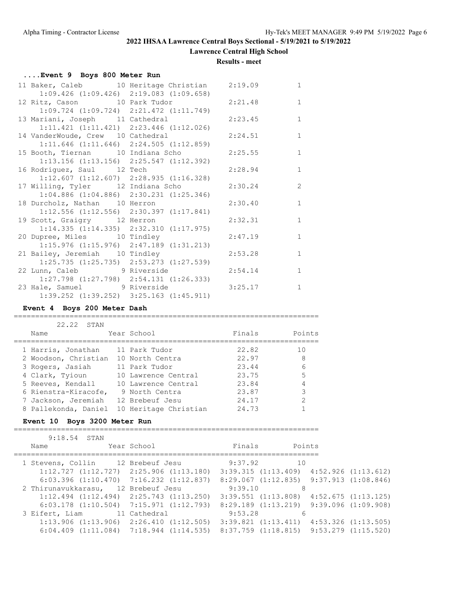**Lawrence Central High School**

#### **Results - meet**

#### **....Event 9 Boys 800 Meter Run**

|  |                                                                                  | 11 Baker, Caleb 10 Heritage Christian 2:19.09 |         | $\mathbf{1}$   |
|--|----------------------------------------------------------------------------------|-----------------------------------------------|---------|----------------|
|  | $1:09.426$ $(1:09.426)$ $2:19.083$ $(1:09.658)$                                  |                                               |         |                |
|  |                                                                                  | 12 Ritz, Cason 10 Park Tudor 2:21.48          |         | $\mathbf{1}$   |
|  | $1:09.724$ $(1:09.724)$ $2:21.472$ $(1:11.749)$                                  |                                               |         |                |
|  | 13 Mariani, Joseph 11 Cathedral                                                  |                                               | 2:23.45 | $\mathbf{1}$   |
|  | $1:11.421$ $(1:11.421)$ $2:23.446$ $(1:12.026)$                                  |                                               |         |                |
|  | 14 VanderWoude, Crew 10 Cathedral                                                |                                               | 2:24.51 | $\mathbf{1}$   |
|  | $1:11.646$ $(1:11.646)$ $2:24.505$ $(1:12.859)$                                  |                                               |         |                |
|  |                                                                                  | 15 Booth, Tiernan 10 Indiana Scho             | 2:25.55 | $\overline{1}$ |
|  | $1:13.156$ $(1:13.156)$ $2:25.547$ $(1:12.392)$                                  |                                               |         |                |
|  | 16 Rodriguez, Saul 12 Tech                                                       |                                               | 2:28.94 | $\mathbf{1}$   |
|  | $1:12.607$ $(1:12.607)$ $2:28.935$ $(1:16.328)$                                  |                                               |         |                |
|  | 17 Willing, Tyler 12 Indiana Scho                                                |                                               | 2:30.24 | $\overline{c}$ |
|  | $1:04.886$ $(1:04.886)$ $2:30.231$ $(1:25.346)$                                  |                                               |         | $\mathbf{1}$   |
|  | 18 Durcholz, Nathan 10 Herron<br>$1:12.556$ $(1:12.556)$ $2:30.397$ $(1:17.841)$ |                                               | 2:30.40 |                |
|  | 19 Scott, Graigry 12 Herron                                                      |                                               | 2:32.31 | $\mathbf{1}$   |
|  | $1:14.335$ $(1:14.335)$ $2:32.310$ $(1:17.975)$                                  |                                               |         |                |
|  | 20 Dupree, Miles 10 Tindley                                                      |                                               | 2:47.19 | $\mathbf{1}$   |
|  | $1:15.976$ $(1:15.976)$ $2:47.189$ $(1:31.213)$                                  |                                               |         |                |
|  | 21 Bailey, Jeremiah 10 Tindley                                                   |                                               | 2:53.28 | $\mathbf{1}$   |
|  | $1:25.735$ $(1:25.735)$ $2:53.273$ $(1:27.539)$                                  |                                               |         |                |
|  | 22 Lunn, Caleb 9 Riverside                                                       |                                               | 2:54.14 | $\mathbf{1}$   |
|  | $1:27.798$ $(1:27.798)$ $2:54.131$ $(1:26.333)$                                  |                                               |         |                |
|  |                                                                                  | 23 Hale, Samuel 9 Riverside                   | 3:25.17 | $\mathbf{1}$   |
|  | $1:39.252$ $(1:39.252)$ $3:25.163$ $(1:45.911)$                                  |                                               |         |                |

#### **Event 4 Boys 200 Meter Dash**

#### 22.22 STAN Name Year School **Finals** Points ======================================================================= 1 Harris, Jonathan 11 Park Tudor 22.82 10 2 Woodson, Christian 10 North Centra 22.97 8 3 Rogers, Jasiah 11 Park Tudor 23.44 6 4 Clark, Tyioun 10 Lawrence Central 23.75 5 5 Reeves, Kendall 10 Lawrence Central 23.84 4 6 Rienstra-Kiracofe, 9 North Centra 23.87 3 7 Jackson, Jeremiah 12 Brebeuf Jesu 24.17 2 8 Pallekonda, Daniel 10 Heritage Christian 24.73 1

=======================================================================

#### **Event 10 Boys 3200 Meter Run**

| 9:18.54 STAN   |                                                 |         |                                                 |                     |
|----------------|-------------------------------------------------|---------|-------------------------------------------------|---------------------|
| Name           | Year School                                     | Finals  | Points                                          |                     |
|                | 1 Stevens, Collin 12 Brebeuf Jesu               | 9:37.92 | 10                                              |                     |
|                | $1:12.727$ $(1:12.727)$ $2:25.906$ $(1:13.180)$ |         | $3:39.315$ $(1:13.409)$ $4:52.926$ $(1:13.612)$ |                     |
|                | $6:03.396$ $(1:10.470)$ $7:16.232$ $(1:12.837)$ |         | $8:29.067$ $(1:12.835)$ $9:37.913$ $(1:08.846)$ |                     |
|                | 2 Thirunavukkarasu, 12 Brebeuf Jesu             | 9:39.10 | 8                                               |                     |
|                | $1:12.494$ $(1:12.494)$ $2:25.743$ $(1:13.250)$ |         | $3:39.551$ $(1:13.808)$ $4:52.675$ $(1:13.125)$ |                     |
|                | $6:03.178$ $(1:10.504)$ $7:15.971$ $(1:12.793)$ |         | $8:29.189$ $(1:13.219)$ $9:39.096$ $(1:09.908)$ |                     |
| 3 Eifert, Liam | 11 Cathedral                                    | 9:53.28 | 6                                               |                     |
|                | $1:13.906$ $(1:13.906)$ $2:26.410$ $(1:12.505)$ |         | $3:39.821$ $(1:13.411)$                         | 4:53.326 (1:13.505) |
|                | $6:04.409$ $(1:11.084)$ $7:18.944$ $(1:14.535)$ |         | $8:37.759$ $(1:18.815)$ $9:53.279$ $(1:15.520)$ |                     |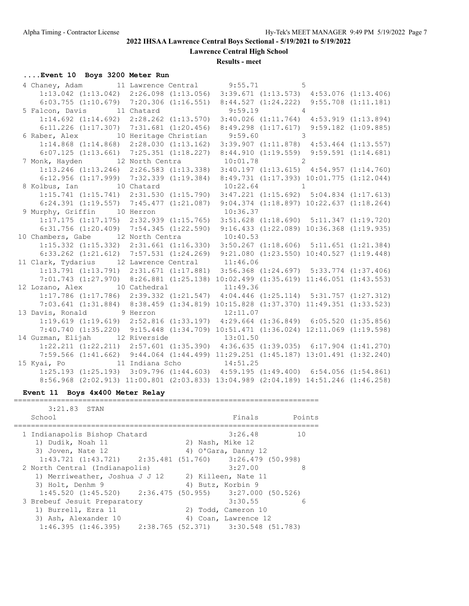**Lawrence Central High School**

**Results - meet**

# **....Event 10 Boys 3200 Meter Run**

|  | 4 Chaney, Adam 11 Lawrence Central 9:55.71 5                                                                                 |  |  |  |
|--|------------------------------------------------------------------------------------------------------------------------------|--|--|--|
|  | $1:13.042$ (1:13.042) $2:26.098$ (1:13.056) $3:39.671$ (1:13.573) $4:53.076$ (1:13.406)                                      |  |  |  |
|  | $6:03.755$ (1:10.679) 7:20.306 (1:16.551) 8:44.527 (1:24.222) 9:55.708 (1:11.181)                                            |  |  |  |
|  | 5 Falcon, Davis 11 Chatard 9:59.19 4                                                                                         |  |  |  |
|  | 1:14.692 (1:14.692) 2:28.262 (1:13.570) 3:40.026 (1:11.764) 4:53.919 (1:13.894)                                              |  |  |  |
|  | 6:11.226 (1:17.307) 7:31.681 (1:20.456) 8:49.298 (1:17.617) 9:59.182 (1:09.885)                                              |  |  |  |
|  | 6 Raber, Alex 10 Heritage Christian 9:59.60 3                                                                                |  |  |  |
|  | $1:14.868$ (1:14.868) 2:28.030 (1:13.162) 3:39.907 (1:11.878) 4:53.464 (1:13.557)                                            |  |  |  |
|  | $6:07.125$ $(1:13.661)$ $7:25.351$ $(1:18.227)$ $8:44.910$ $(1:19.559)$ $9:59.591$ $(1:14.681)$                              |  |  |  |
|  | 7 Monk, Hayden 12 North Centra 10:01.78 2                                                                                    |  |  |  |
|  | 1:13.246 (1:13.246) 2:26.583 (1:13.338) 3:40.197 (1:13.615) 4:54.957 (1:14.760)                                              |  |  |  |
|  | 6:12.956 (1:17.999) 7:32.339 (1:19.384) 8:49.731 (1:17.393) 10:01.775 (1:12.044)                                             |  |  |  |
|  | 8 Kolbus, Ian 10 Chatard 10:22.64 1                                                                                          |  |  |  |
|  | 1:15.741 (1:15.741) 2:31.530 (1:15.790) 3:47.221 (1:15.692) 5:04.834 (1:17.613)                                              |  |  |  |
|  | 6:24.391 (1:19.557) 7:45.477 (1:21.087) 9:04.374 (1:18.897) 10:22.637 (1:18.264)                                             |  |  |  |
|  | 9 Murphy, Griffin 10 Herron 10:36.37<br>1:17.175 (1:17.175) 2:32.939 (1:15.765) 3:51.628 (1:18.690) 5:11.347 (1:19.720)      |  |  |  |
|  |                                                                                                                              |  |  |  |
|  | 6:31.756 (1:20.409) 7:54.345 (1:22.590) 9:16.433 (1:22.089) 10:36.368 (1:19.935)                                             |  |  |  |
|  | 10 Chambers, Gabe 12 North Centra 10:40.53                                                                                   |  |  |  |
|  | $1:15.332$ $(1:15.332)$ $2:31.661$ $(1:16.330)$ $3:50.267$ $(1:18.606)$ $5:11.651$ $(1:21.384)$                              |  |  |  |
|  | 6:33.262 (1:21.612) 7:57.531 (1:24.269) 9:21.080 (1:23.550) 10:40.527 (1:19.448)                                             |  |  |  |
|  | 11 Clark, Tydarius 12 Lawrence Central 11:46.06                                                                              |  |  |  |
|  | 1:13.791 (1:13.791) 2:31.671 (1:17.881) 3:56.368 (1:24.697) 5:33.774 (1:37.406)                                              |  |  |  |
|  | 7:01.743 (1:27.970) 8:26.881 (1:25.138) 10:02.499 (1:35.619) 11:46.051 (1:43.553)                                            |  |  |  |
|  | 12 Lozano, Alex 10 Cathedral 11:49.36                                                                                        |  |  |  |
|  | 1:17.786 (1:17.786) 2:39.332 (1:21.547) 4:04.446 (1:25.114) 5:31.757 (1:27.312)                                              |  |  |  |
|  | 7:03.641 (1:31.884) 8:38.459 (1:34.819) 10:15.828 (1:37.370) 11:49.351 (1:33.523)                                            |  |  |  |
|  | 13 Davis, Ronald 9 Herron 12:11.07                                                                                           |  |  |  |
|  | 1:19.619 (1:19.619) 2:52.816 (1:33.197) 4:29.664 (1:36.849) 6:05.520 (1:35.856)                                              |  |  |  |
|  | 7:40.740 (1:35.220) 9:15.448 (1:34.709) 10:51.471 (1:36.024) 12:11.069 (1:19.598)<br>14 Guzman, Elijah 12 Riverside 13:01.50 |  |  |  |
|  | $1:22.211$ $(1:22.211)$ $2:57.601$ $(1:35.390)$ $4:36.635$ $(1:39.035)$ $6:17.904$ $(1:41.270)$                              |  |  |  |
|  | 7:59.566 (1:41.662) 9:44.064 (1:44.499) 11:29.251 (1:45.187) 13:01.491 (1:32.240)                                            |  |  |  |
|  |                                                                                                                              |  |  |  |
|  | 15 Kyai, Po 11 Indiana Scho 14:51.25<br>1:25.193 (1:25.193) 3:09.796 (1:44.603) 4:59.195 (1:49.400) 6:54.056 (1:54.861)      |  |  |  |
|  | 8:56.968 (2:02.913) 11:00.801 (2:03.833) 13:04.989 (2:04.189) 14:51.246 (1:46.258)                                           |  |  |  |
|  |                                                                                                                              |  |  |  |

### **Event 11 Boys 4x400 Meter Relay**

| 3:21.83 STAN         |                                                                                                                                   |         |                                                                                                                                                                                                                                                                                                                                                   |
|----------------------|-----------------------------------------------------------------------------------------------------------------------------------|---------|---------------------------------------------------------------------------------------------------------------------------------------------------------------------------------------------------------------------------------------------------------------------------------------------------------------------------------------------------|
| School               |                                                                                                                                   | Finals  | Points                                                                                                                                                                                                                                                                                                                                            |
|                      |                                                                                                                                   |         |                                                                                                                                                                                                                                                                                                                                                   |
|                      |                                                                                                                                   | 3:26.48 | 10                                                                                                                                                                                                                                                                                                                                                |
| 1) Dudik, Noah 11    |                                                                                                                                   |         |                                                                                                                                                                                                                                                                                                                                                   |
| 3) Joven, Nate 12    |                                                                                                                                   |         |                                                                                                                                                                                                                                                                                                                                                   |
|                      |                                                                                                                                   |         |                                                                                                                                                                                                                                                                                                                                                   |
|                      |                                                                                                                                   | 3:27.00 | 8                                                                                                                                                                                                                                                                                                                                                 |
|                      |                                                                                                                                   |         |                                                                                                                                                                                                                                                                                                                                                   |
| 3) Holt, Denhm 9     |                                                                                                                                   |         |                                                                                                                                                                                                                                                                                                                                                   |
|                      |                                                                                                                                   |         |                                                                                                                                                                                                                                                                                                                                                   |
|                      |                                                                                                                                   | 3:30.55 | 6                                                                                                                                                                                                                                                                                                                                                 |
| 1) Burrell, Ezra 11  |                                                                                                                                   |         |                                                                                                                                                                                                                                                                                                                                                   |
| 3) Ash, Alexander 10 |                                                                                                                                   |         |                                                                                                                                                                                                                                                                                                                                                   |
|                      |                                                                                                                                   |         |                                                                                                                                                                                                                                                                                                                                                   |
|                      | 1 Indianapolis Bishop Chatard<br>2 North Central (Indianapolis)<br>1) Merriweather, Joshua J J 12<br>3 Brebeuf Jesuit Preparatory |         | 2) Nash, Mike 12<br>4) O'Gara, Danny 12<br>$1:43.721$ $(1:43.721)$ $2:35.481$ $(51.760)$ $3:26.479$ $(50.998)$<br>2) Killeen, Nate 11<br>4) Butz, Korbin 9<br>$1:45.520$ (1:45.520) $2:36.475$ (50.955) $3:27.000$ (50.526)<br>2) Todd, Cameron 10<br>4) Coan, Lawrence 12<br>$1:46.395$ $(1:46.395)$ $2:38.765$ $(52.371)$ $3:30.548$ $(51.783)$ |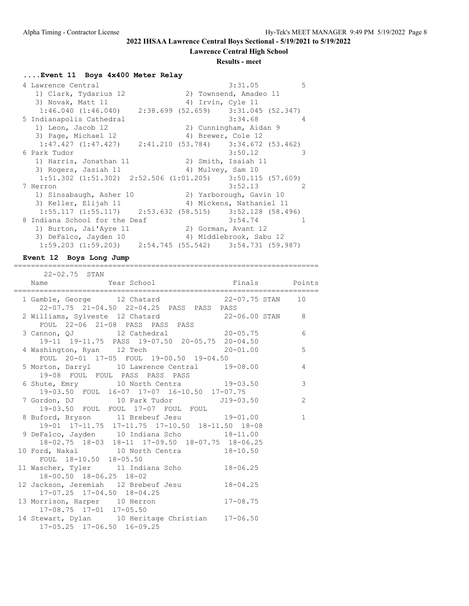**Lawrence Central High School**

### **Results - meet**

# **....Event 11 Boys 4x400 Meter Relay**

| 4 Lawrence Central                                                  |                     | 3:31.05                   | 5             |
|---------------------------------------------------------------------|---------------------|---------------------------|---------------|
| 1) Clark, Tydarius 12                                               |                     | 2) Townsend, Amadeo 11    |               |
| 3) Novak, Matt 11                                                   | 4) Irvin, Cyle 11   |                           |               |
| $1:46.040$ $(1:46.040)$ $2:38.699$ $(52.659)$ $3:31.045$ $(52.347)$ |                     |                           |               |
| 5 Indianapolis Cathedral                                            |                     | 3:34.68<br>$\overline{4}$ |               |
| 1) Leon, Jacob 12                                                   |                     | 2) Cunningham, Aidan 9    |               |
| 3) Page, Michael 12                                                 | 4) Brewer, Cole 12  |                           |               |
| $1:47.427$ $(1:47.427)$ $2:41.210$ $(53.784)$ $3:34.672$ $(53.462)$ |                     |                           |               |
| 6 Park Tudor                                                        |                     | 3:50.12                   | 3             |
| 1) Harris, Jonathan 11                                              |                     | 2) Smith, Isaiah 11       |               |
| 3) Rogers, Jasiah 11                                                | 4) Mulvey, Sam 10   |                           |               |
| 1:51.302 (1:51.302) 2:52.506 (1:01.205) 3:50.115 (57.609)           |                     |                           |               |
| 7 Herron                                                            |                     | 3:52.13                   | $\mathcal{P}$ |
| 1) Sinsabaugh, Asher 10                                             |                     | 2) Yarborough, Gavin 10   |               |
| 3) Keller, Elijah 11                                                |                     | 4) Mickens, Nathaniel 11  |               |
| $1:55.117$ (1:55.117) 2:53.632 (58.515) 3:52.128 (58.496)           |                     |                           |               |
| 8 Indiana School for the Deaf                                       |                     | 3:54.74                   | $\mathbf{1}$  |
| 1) Burton, Jai'Ayre 11                                              | 2) Gorman, Avant 12 |                           |               |
| 3) DeFalco, Jayden 10                                               |                     | 4) Middlebrook, Sabu 12   |               |
| $1:59.203$ $(1:59.203)$ $2:54.745$ $(55.542)$ $3:54.731$ $(59.987)$ |                     |                           |               |

=======================================================================

### **Event 12 Boys Long Jump**

| 22-02.75 STAN                                    |                |
|--------------------------------------------------|----------------|
|                                                  |                |
| 1 Gamble, George 12 Chatard 22-07.75 STAN 10     |                |
| 22-07.75 21-04.50 22-04.25 PASS PASS PASS        |                |
| 2 Williams, Sylveste 12 Chatard 22-06.00 STAN 8  |                |
| FOUL 22-06 21-08 PASS PASS PASS                  |                |
| 3 Cannon, QJ 12 Cathedral 20-05.75               | 6              |
| 19-11 19-11.75 PASS 19-07.50 20-05.75 20-04.50   |                |
| 4 Washington, Ryan 12 Tech 1997 100 100 100 100  |                |
| FOUL 20-01 17-05 FOUL 19-00.50 19-04.50          |                |
| 5 Morton, Darryl 10 Lawrence Central 19-08.00    | $\overline{4}$ |
| 19-08 FOUL FOUL PASS PASS PASS                   |                |
| 6 Shute, Emry 10 North Centra 19-03.50           | 3              |
| 19-03.50 FOUL 16-07 17-07 16-10.50 17-07.75      |                |
|                                                  | 2              |
| 19-03.50 FOUL FOUL 17-07 FOUL FOUL               |                |
| 8 Buford, Bryson 11 Brebeuf Jesu 19-01.00        | $\mathbf{1}$   |
| 19-01 17-11.75 17-11.75 17-10.50 18-11.50 18-08  |                |
| 9 DeFalco, Jayden 10 Indiana Scho 18-11.00       |                |
| 18-02.75 18-03 18-11 17-09.50 18-07.75 18-06.25  |                |
| 10 Ford, Nakai 10 North Centra 18-10.50          |                |
| FOUL 18-10.50 18-05.50                           |                |
| 11 Wascher, Tyler 11 Indiana Scho 18-06.25       |                |
| 18-00.50 18-06.25 18-02                          |                |
| 12 Jackson, Jeremiah 12 Brebeuf Jesu 18-04.25    |                |
| 17-07.25 17-04.50 18-04.25                       |                |
| 13 Morrison, Harper 10 Herron 17-08.75           |                |
| 17-08.75 17-01 17-05.50                          |                |
| 14 Stewart, Dylan 10 Heritage Christian 17-06.50 |                |
| 17-05.25 17-06.50 16-09.25                       |                |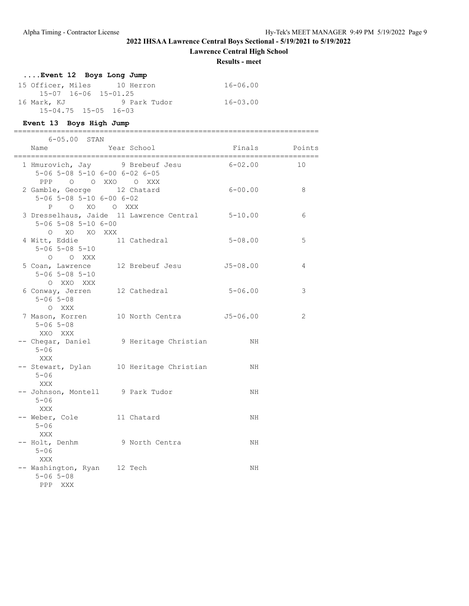**Lawrence Central High School**

**Results - meet**

# **....Event 12 Boys Long Jump**

| 15 Officer, Miles | 10 Herron                        | 16-06.00 |
|-------------------|----------------------------------|----------|
|                   | 15-07 16-06 15-01.25             |          |
| 16 Mark, KJ       | 9 Park Tudor                     | 16-03.00 |
|                   | $15 - 04.75$ $15 - 05$ $16 - 03$ |          |

#### **Event 13 Boys High Jump**

| 6-05.00 STAN                                                                                |                                                  |               |    |
|---------------------------------------------------------------------------------------------|--------------------------------------------------|---------------|----|
| Name<br>============================                                                        | Year School                                      | Finals Points |    |
| 1 Hmurovich, Jay 9 Brebeuf Jesu<br>5-06 5-08 5-10 6-00 6-02 6-05<br>PPP 0 0 XXO 0 XXX       |                                                  | $6 - 02.00$   | 10 |
| 2 Gamble, George 12 Chatard<br>$5 - 06$ $5 - 08$ $5 - 10$ $6 - 00$ $6 - 02$<br>P O XO O XXX |                                                  | 6-00.00       | 8  |
| $5 - 06$ $5 - 08$ $5 - 10$ $6 - 00$<br>O XO XO XXX                                          | 3 Dresselhaus, Jaide 11 Lawrence Central 5-10.00 |               | 6  |
| 4 Witt, Eddie 11 Cathedral<br>$5 - 06$ $5 - 08$ $5 - 10$<br>O O XXX                         |                                                  | $5 - 08.00$   | 5  |
| 5 Coan, Lawrence 12 Brebeuf Jesu<br>$5 - 06$ $5 - 08$ $5 - 10$<br>O XXO XXX                 |                                                  | $J5 - 08.00$  | 4  |
| 6 Conway, Jerren 12 Cathedral<br>$5 - 06$ $5 - 08$<br>O XXX                                 |                                                  | $5 - 06.00$   | 3  |
| $5 - 06$ $5 - 08$<br>XXO XXX                                                                | 7 Mason, Korren 10 North Centra 55-06.00         |               | 2  |
| $5 - 06$<br>XXX                                                                             | -- Chegar, Daniel 9 Heritage Christian           | NH            |    |
| $5 - 06$<br>XXX                                                                             | -- Stewart, Dylan 10 Heritage Christian          | NH            |    |
| -- Johnson, Montell 9 Park Tudor<br>$5 - 06$<br>XXX                                         |                                                  | NH            |    |
| -- Weber, Cole 11 Chatard<br>$5 - 06$<br>XXX                                                |                                                  | NH            |    |
| -- Holt, Denhm 9 North Centra<br>$5 - 06$<br>XXX                                            |                                                  | NH            |    |
| -- Washington, Ryan 12 Tech<br>$5 - 06$ $5 - 08$<br>PPP XXX                                 |                                                  | NH            |    |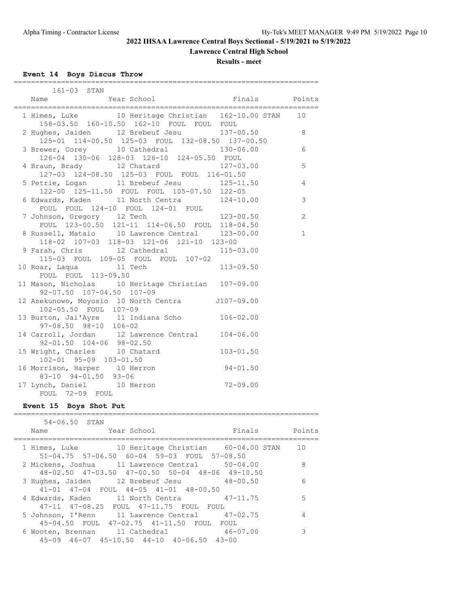**Lawrence Central High School**

**Results - meet**

# **Event 14 Boys Discus Throw**

| 161-03 STAN                                                                                                                                    |                                 |                |
|------------------------------------------------------------------------------------------------------------------------------------------------|---------------------------------|----------------|
| Year School<br>Name                                                                                                                            | Finals Points                   |                |
| 1 Himes, Luke<br>10 Heritage Christian 162-10.00 STAN<br>158-03.50 160-10.50 162-10 FOUL FOUL FOUL                                             |                                 | 10             |
| 2 Hughes, Jaiden 12 Brebeuf Jesu 137-00.50<br>125-01 114-00.50 125-03 FOUL 132-08.50 137-00.50                                                 |                                 | 8              |
| 3 Brewer, Corey 10 Cathedral 130-06.00<br>126-04 130-06 128-03 126-10 124-05.50 FOUL                                                           |                                 | 6              |
| 4 Braun, Brady 12 Chatard<br>127-03 124-08.50 125-03 FOUL FOUL 116-01.50                                                                       | 127-03.00                       | 5              |
| 5 Petrie, Logan 11 Brebeuf Jesu 125-11.50<br>122-00 125-11.50 FOUL FOUL 105-07.50 122-05                                                       |                                 | $\overline{4}$ |
| 6 Edwards, Kaden 11 North Centra 124-10.00<br>FOUL FOUL 124-10 FOUL 124-01 FOUL                                                                |                                 | 3              |
| 7 Johnson, Gregory 12 Tech                                                                                                                     | $123 - 00.50$                   | $\mathbf{2}$   |
| FOUL 123-00.50 121-11 114-06.50 FOUL 118-04.50<br>8 Russell, Mataio 10 Lawrence Central 123-00.00<br>118-02 107-03 118-03 121-06 121-10 123-00 |                                 | $\mathbf 1$    |
| 9 Farah, Chris 12 Cathedral 115-03.00<br>115-03 FOUL 109-05 FOUL FOUL 107-02                                                                   |                                 |                |
| 10 Roar, Laqua<br>$11$ Tech<br>$50$<br>FOUL FOUL 113-09.50                                                                                     | 113-09.50                       |                |
| 11 Mason, Nicholas 10 Heritage Christian 107-09.00<br>92-07.50 107-04.50 107-09                                                                |                                 |                |
| 12 Asekunowo, Moyosio 10 North Centra J107-09.00<br>102-05.50 FOUL 107-09                                                                      |                                 |                |
| 13 Burton, Jai'Ayre 11 Indiana Scho 106-02.00<br>97-08.50 98-10 106-02                                                                         |                                 |                |
| 14 Carroll, Jordan 12 Lawrence Central 104-06.00<br>$92 - 01.50$ $104 - 06$ $98 - 02.50$                                                       |                                 |                |
| 15 Wright, Charles 10 Chatard 103-01.50<br>102-01 95-09 103-01.50                                                                              |                                 |                |
| 16 Morrison, Harper 10 Herron<br>83-10 94-01.50 93-06                                                                                          | $94 - 01.50$                    |                |
| 17 Lynch, Daniel 10 Herron<br>FOUL 72-09 FOUL                                                                                                  | $72 - 09.00$                    |                |
| Event 15 Boys Shot Put<br>====================<br>==============================                                                               |                                 |                |
| 54-06.50 STAN                                                                                                                                  |                                 |                |
| Name Year School                                                                                                                               | Finals Points<br>============== |                |
| 1 Himes, Luke 10 Heritage Christian 60-04.00 STAN                                                                                              |                                 | 10             |

| 1 Himes, Luke 10 Heritage Christian 60-04.00 STAN           | 10 |
|-------------------------------------------------------------|----|
| 51-04.75 57-06.50 60-04 59-03 FOUL 57-08.50                 |    |
| 2 Mickens, Joshua 11 Lawrence Central 50-04.00              | 8  |
| $48-02.50$ $47-03.50$ $47-00.50$ $50-04$ $48-06$ $49-10.50$ |    |
| 3 Hughes, Jaiden 12 Brebeuf Jesu 48-00.50                   | 6  |
| 41-01 47-04 FOUL 44-05 41-01 48-00.50                       |    |
| 4 Edwards, Kaden 11 North Centra 47-11.75                   | 5  |
| 47-11 47-08.25 FOUL 47-11.75 FOUL FOUL                      |    |
| 5 Johnson, I'Renn 11 Lawrence Central 47-02.75              | 4  |
| 45-04.50 FOUL 47-02.75 41-11.50 FOUL FOUL                   |    |
| 6 Wooten, Brennan 11 Cathedral 46-07.00                     | 3  |
| $45-09$ $46-07$ $45-10.50$ $44-10$ $40-06.50$ $43-00$       |    |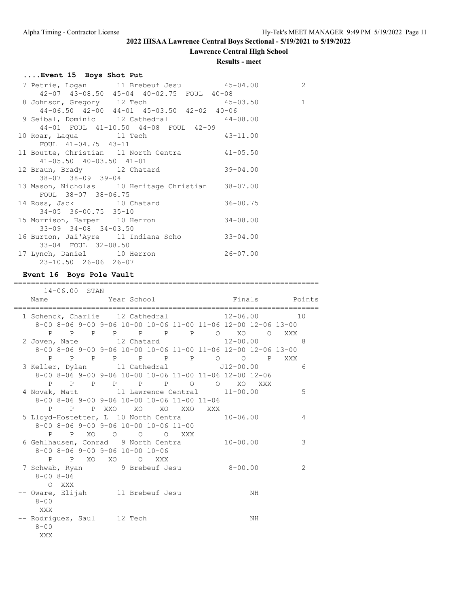**Lawrence Central High School**

#### **Results - meet**

# **....Event 15 Boys Shot Put**

|                                                    |                                                   |              | 2 |
|----------------------------------------------------|---------------------------------------------------|--------------|---|
|                                                    | 42-07 43-08.50 45-04 40-02.75 FOUL 40-08          |              |   |
|                                                    | 8 Johnson, Gregory 12 Tech 15-03.50 1             |              |   |
|                                                    | 44-06.50 42-00 44-01 45-03.50 42-02 40-06         |              |   |
|                                                    | 9 Seibal, Dominic 12 Cathedral 44-08.00           |              |   |
|                                                    | 44-01 FOUL 41-10.50 44-08 FOUL 42-09              |              |   |
|                                                    | 10 Roar, Laqua 11 Tech 43-11.00                   |              |   |
| FOUL 41-04.75 43-11                                |                                                   |              |   |
|                                                    | 11 Boutte, Christian 11 North Centra 41-05.50     |              |   |
| $41 - 05.50$ $40 - 03.50$ $41 - 01$                |                                                   |              |   |
|                                                    | 12 Braun, Brady 12 Chatard 39-04.00               |              |   |
| $38 - 07$ $38 - 09$ $39 - 04$                      |                                                   |              |   |
|                                                    | 13 Mason, Nicholas 10 Heritage Christian 38-07.00 |              |   |
| FOUL 38-07 38-06.75                                |                                                   |              |   |
|                                                    | 14 Ross, Jack 10 Chatard                          | $36 - 00.75$ |   |
| $34-05$ $36-00.75$ $35-10$                         |                                                   |              |   |
| 15 Morrison, Harper 10 Herron                      |                                                   | $34 - 08.00$ |   |
| $33-09$ $34-08$ $34-03.50$                         |                                                   |              |   |
|                                                    | 16 Burton, Jai'Ayre 11 Indiana Scho 33-04.00      |              |   |
| 33-04 FOUL 32-08.50                                |                                                   |              |   |
| 17 Lynch, Daniel 10 Herron<br>23-10.50 26-06 26-07 |                                                   | $26 - 07.00$ |   |
|                                                    |                                                   |              |   |

### **Event 16 Boys Pole Vault**

|                                                               | 14-06.00 STAN |  |                     |                          |     |              |    |               |   |
|---------------------------------------------------------------|---------------|--|---------------------|--------------------------|-----|--------------|----|---------------|---|
| Name                                                          |               |  |                     | Year School              |     |              |    | Finals Points |   |
| 1 Schenck, Charlie 12 Cathedral 12-06.00 10                   |               |  |                     |                          |     |              |    |               |   |
| 8-00 8-06 9-00 9-06 10-00 10-06 11-00 11-06 12-00 12-06 13-00 |               |  |                     |                          |     |              |    |               |   |
|                                                               |               |  |                     | P P P P P P P P O XO O   |     |              |    | XXX           |   |
| 2 Joven, Nate $12$ Chatard $12-00.00$                         |               |  |                     |                          |     |              |    |               | 8 |
| 8-00 8-06 9-00 9-06 10-00 10-06 11-00 11-06 12-00 12-06 13-00 |               |  |                     |                          |     |              |    |               |   |
|                                                               |               |  |                     |                          |     |              |    | XXX           |   |
| 3 Keller, Dylan 11 Cathedral 512-00.00                        |               |  |                     |                          |     |              |    |               | 6 |
| 8-00 8-06 9-00 9-06 10-00 10-06 11-00 11-06 12-00 12-06       |               |  |                     |                          |     |              |    |               |   |
|                                                               |               |  |                     | P P P P P P P O O XO XXX |     |              |    |               |   |
| 4 Novak, Matt 11 Lawrence Central 11-00.00                    |               |  |                     |                          |     |              |    |               | 5 |
| 8-00 8-06 9-00 9-06 10-00 10-06 11-00 11-06                   |               |  |                     |                          |     |              |    |               |   |
|                                                               |               |  | P P P XXO XO XO XXO |                          | XXX |              |    |               |   |
| 5 Lloyd-Hostetter, L 10 North Centra 10-06.00                 |               |  |                     |                          |     |              |    |               | 4 |
| 8-00 8-06 9-00 9-06 10-00 10-06 11-00                         |               |  |                     |                          |     |              |    |               |   |
|                                                               |               |  | P P XO O O O XXX    |                          |     |              |    |               |   |
| 6 Gehlhausen, Conrad 9 North Centra                           |               |  |                     |                          |     | $10 - 00.00$ |    |               | 3 |
| $8 - 00$ $8 - 06$ $9 - 00$ $9 - 06$ $10 - 00$ $10 - 06$       |               |  |                     |                          |     |              |    |               |   |
|                                                               |               |  | P P XO XO O XXX     |                          |     | $8 - 00.00$  |    |               | 2 |
| 7 Schwab, Ryan 9 Brebeuf Jesu<br>$8 - 008 - 06$               |               |  |                     |                          |     |              |    |               |   |
| O XXX                                                         |               |  |                     |                          |     |              |    |               |   |
| -- Oware, Elijah 11 Brebeuf Jesu                              |               |  |                     |                          |     |              | NH |               |   |
| $8 - 00$                                                      |               |  |                     |                          |     |              |    |               |   |
| XXX                                                           |               |  |                     |                          |     |              |    |               |   |
| -- Rodriguez, Saul 12 Tech                                    |               |  |                     |                          |     |              | NH |               |   |
| $8 - 00$                                                      |               |  |                     |                          |     |              |    |               |   |
| XXX                                                           |               |  |                     |                          |     |              |    |               |   |
|                                                               |               |  |                     |                          |     |              |    |               |   |